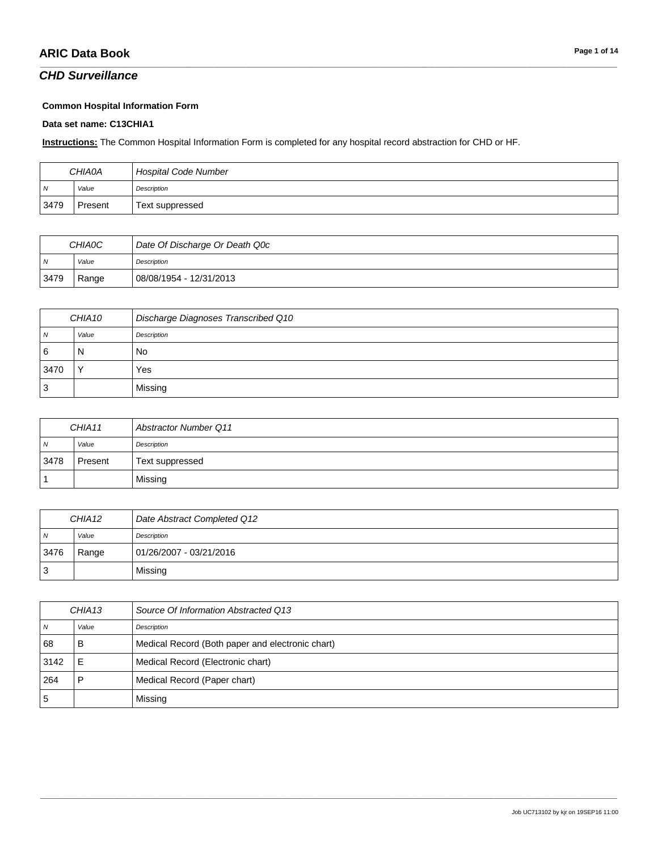### *CHD Surveillance*

#### **Common Hospital Information Form**

#### **Data set name: C13CHIA1**

**Instructions:** The Common Hospital Information Form is completed for any hospital record abstraction for CHD or HF.

| <b>CHIA0A</b> |         | <b>Hospital Code Number</b> |
|---------------|---------|-----------------------------|
| N             | Value   | Description                 |
| 3479          | Present | Text suppressed             |

\_\_\_\_\_\_\_\_\_\_\_\_\_\_\_\_\_\_\_\_\_\_\_\_\_\_\_\_\_\_\_\_\_\_\_\_\_\_\_\_\_\_\_\_\_\_\_\_\_\_\_\_\_\_\_\_\_\_\_\_\_\_\_\_\_\_\_\_\_\_\_\_\_\_\_\_\_\_\_\_\_\_\_\_\_\_\_\_\_\_\_\_\_\_\_\_\_\_\_\_\_\_\_\_\_\_\_\_\_\_\_\_\_\_\_\_\_\_\_\_\_\_\_\_\_\_\_\_\_\_\_\_\_\_\_\_\_\_\_\_\_\_\_\_\_\_\_\_\_\_\_\_\_\_\_\_\_\_\_\_\_\_\_\_\_\_\_\_\_\_\_\_\_\_\_\_\_\_\_\_\_\_\_\_\_\_\_\_\_\_\_\_\_

| <b>CHIAOC</b>  |       | Date Of Discharge Or Death Q0c |
|----------------|-------|--------------------------------|
| $\overline{N}$ | Value | Description                    |
| 3479           | Range | 08/08/1954 - 12/31/2013        |

| CHIA10 |              | Discharge Diagnoses Transcribed Q10 |
|--------|--------------|-------------------------------------|
| 7V     | Value        | Description                         |
| 6      | N            | No                                  |
| 3470   | $\checkmark$ | Yes                                 |
|        |              | Missing                             |

| CHIA11         |         | <b>Abstractor Number Q11</b> |
|----------------|---------|------------------------------|
| $\overline{N}$ | Value   | Description                  |
| 3478           | Present | Text suppressed              |
|                |         | Missing                      |

| CHIA <sub>12</sub> |       | Date Abstract Completed Q12 |
|--------------------|-------|-----------------------------|
| $\overline{N}$     | Value | Description                 |
| 3476               | Range | 01/26/2007 - 03/21/2016     |
| IЗ                 |       | Missing                     |

| CHIA <sub>13</sub> |       | Source Of Information Abstracted Q13             |
|--------------------|-------|--------------------------------------------------|
|                    | Value | Description                                      |
| 68                 | в     | Medical Record (Both paper and electronic chart) |
| 3142               | E     | Medical Record (Electronic chart)                |
| 264                |       | Medical Record (Paper chart)                     |
| ა                  |       | Missing                                          |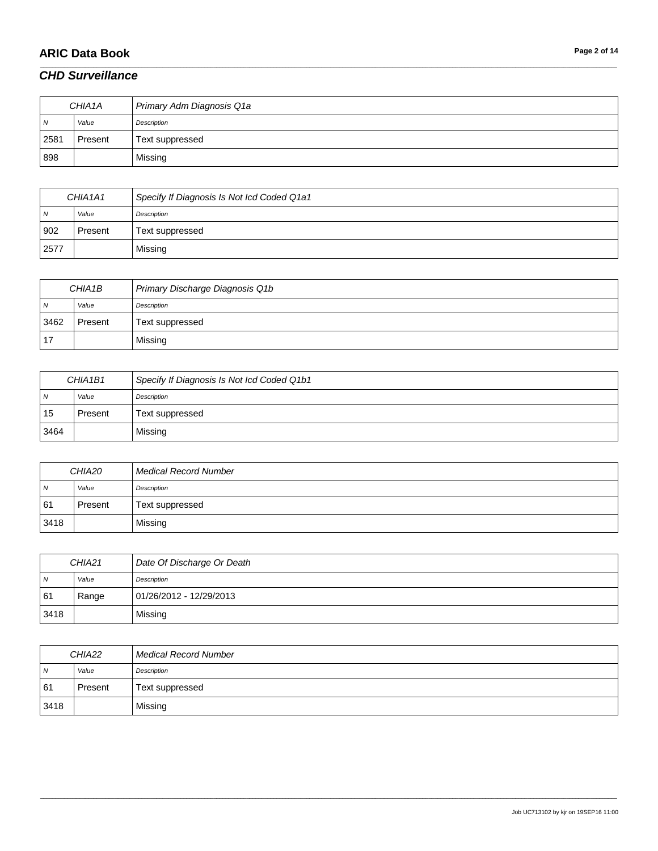# **ARIC Data Book Page 2 of 14**

#### *CHD Surveillance*

| CHIA1A         |         | Primary Adm Diagnosis Q1a |
|----------------|---------|---------------------------|
| $\overline{N}$ | Value   | Description               |
| 2581           | Present | Text suppressed           |
| 898            |         | Missing                   |

\_\_\_\_\_\_\_\_\_\_\_\_\_\_\_\_\_\_\_\_\_\_\_\_\_\_\_\_\_\_\_\_\_\_\_\_\_\_\_\_\_\_\_\_\_\_\_\_\_\_\_\_\_\_\_\_\_\_\_\_\_\_\_\_\_\_\_\_\_\_\_\_\_\_\_\_\_\_\_\_\_\_\_\_\_\_\_\_\_\_\_\_\_\_\_\_\_\_\_\_\_\_\_\_\_\_\_\_\_\_\_\_\_\_\_\_\_\_\_\_\_\_\_\_\_\_\_\_\_\_\_\_\_\_\_\_\_\_\_\_\_\_\_\_\_\_\_\_\_\_\_\_\_\_\_\_\_\_\_\_\_\_\_\_\_\_\_\_\_\_\_\_\_\_\_\_\_\_\_\_\_\_\_\_\_\_\_\_\_\_\_\_\_

| CHIA1A1        |         | Specify If Diagnosis Is Not Icd Coded Q1a1 |
|----------------|---------|--------------------------------------------|
| $\overline{N}$ | Value   | Description                                |
| 902            | Present | Text suppressed                            |
| 2577           |         | Missing                                    |

| CHIA1B         |         | Primary Discharge Diagnosis Q1b |
|----------------|---------|---------------------------------|
| $\overline{N}$ | Value   | Description                     |
| 3462           | Present | Text suppressed                 |
| 17             |         | Missing                         |

| CHIA1B1 |         | Specify If Diagnosis Is Not Icd Coded Q1b1 |
|---------|---------|--------------------------------------------|
| N       | Value   | Description                                |
| 15      | Present | Text suppressed                            |
| 3464    |         | Missing                                    |

| CHIA20         |         | Medical Record Number |
|----------------|---------|-----------------------|
| $\overline{N}$ | Value   | Description           |
| 61             | Present | Text suppressed       |
| 3418           |         | Missing               |

| CHIA <sub>21</sub> |       | Date Of Discharge Or Death |
|--------------------|-------|----------------------------|
| $\overline{N}$     | Value | Description                |
| 61                 | Range | 01/26/2012 - 12/29/2013    |
| 3418               |       | Missing                    |

| CHIA22         |         | <b>Medical Record Number</b> |
|----------------|---------|------------------------------|
| $\overline{N}$ | Value   | Description                  |
| 61             | Present | Text suppressed              |
| 3418           |         | Missing                      |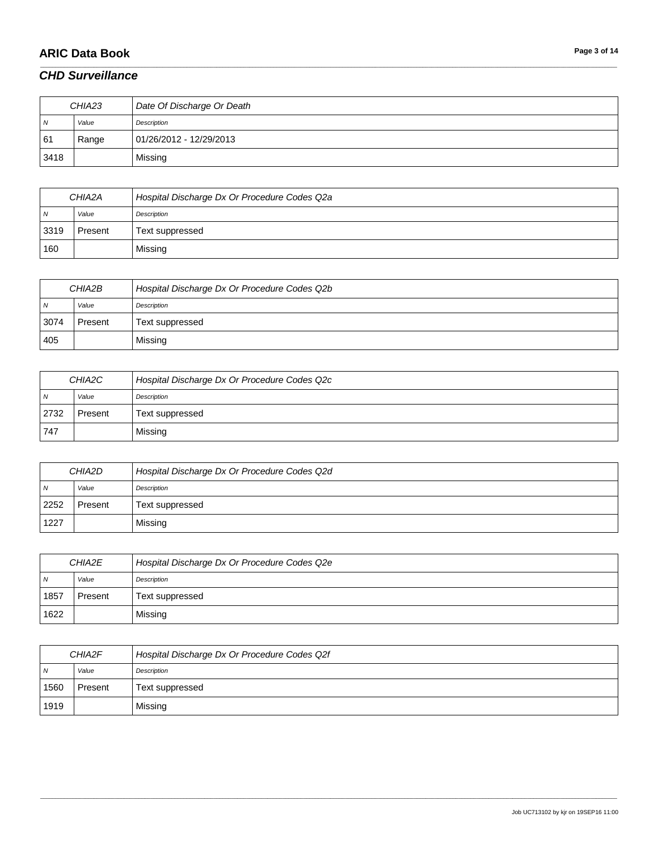# **ARIC Data Book Page 3 of 14**

#### *CHD Surveillance*

| CHIA23         |       | Date Of Discharge Or Death |
|----------------|-------|----------------------------|
| $\overline{N}$ | Value | Description                |
| 61             | Range | 01/26/2012 - 12/29/2013    |
| 3418           |       | Missing                    |

\_\_\_\_\_\_\_\_\_\_\_\_\_\_\_\_\_\_\_\_\_\_\_\_\_\_\_\_\_\_\_\_\_\_\_\_\_\_\_\_\_\_\_\_\_\_\_\_\_\_\_\_\_\_\_\_\_\_\_\_\_\_\_\_\_\_\_\_\_\_\_\_\_\_\_\_\_\_\_\_\_\_\_\_\_\_\_\_\_\_\_\_\_\_\_\_\_\_\_\_\_\_\_\_\_\_\_\_\_\_\_\_\_\_\_\_\_\_\_\_\_\_\_\_\_\_\_\_\_\_\_\_\_\_\_\_\_\_\_\_\_\_\_\_\_\_\_\_\_\_\_\_\_\_\_\_\_\_\_\_\_\_\_\_\_\_\_\_\_\_\_\_\_\_\_\_\_\_\_\_\_\_\_\_\_\_\_\_\_\_\_\_\_

| CHIA2A   |         | Hospital Discharge Dx Or Procedure Codes Q2a |
|----------|---------|----------------------------------------------|
| <b>N</b> | Value   | Description                                  |
| 3319     | Present | Text suppressed                              |
| 160      |         | Missing                                      |

| CHIA2B         |         | Hospital Discharge Dx Or Procedure Codes Q2b |
|----------------|---------|----------------------------------------------|
| $\overline{N}$ | Value   | Description                                  |
| 3074           | Present | Text suppressed                              |
| 405            |         | Missing                                      |

| CHIA2C         |         | Hospital Discharge Dx Or Procedure Codes Q2c |
|----------------|---------|----------------------------------------------|
| N <sub>N</sub> | Value   | Description                                  |
| 2732           | Present | Text suppressed                              |
| 747            |         | Missing                                      |

| CHIA2D         |         | Hospital Discharge Dx Or Procedure Codes Q2d |
|----------------|---------|----------------------------------------------|
| N <sub>N</sub> | Value   | Description                                  |
| 2252           | Present | Text suppressed                              |
| 1227           |         | Missing                                      |

| CHIA2E         |         | Hospital Discharge Dx Or Procedure Codes Q2e |
|----------------|---------|----------------------------------------------|
| $\overline{N}$ | Value   | Description                                  |
| 1857           | Present | Text suppressed                              |
| 1622           |         | Missing                                      |

| CHIA2F         |         | Hospital Discharge Dx Or Procedure Codes Q2f |
|----------------|---------|----------------------------------------------|
| $\overline{N}$ | Value   | Description                                  |
| 1560           | Present | Text suppressed                              |
| 1919           |         | Missing                                      |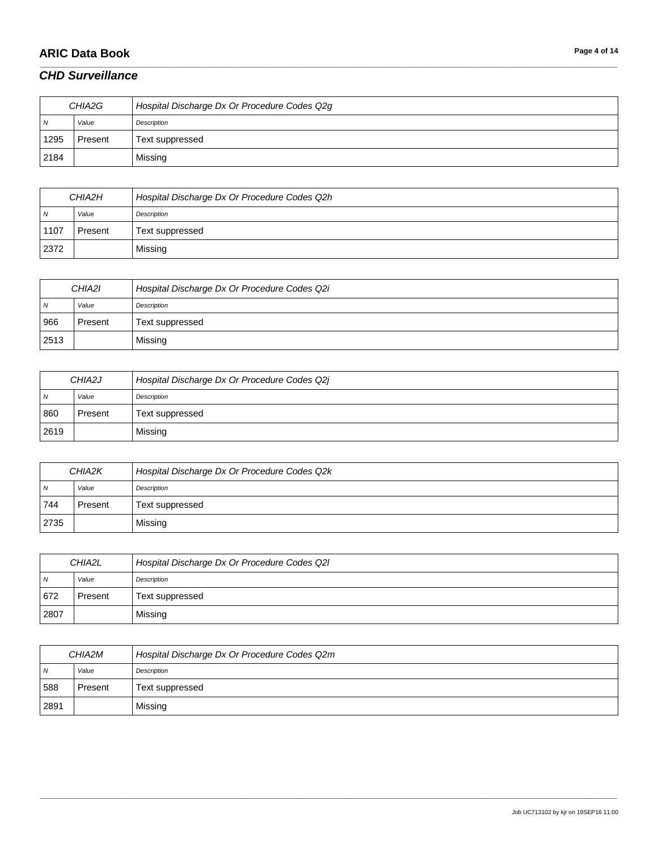# **ARIC Data Book Page 4 of 14**

#### *CHD Surveillance*

| CHIA2G |         | Hospital Discharge Dx Or Procedure Codes Q2g |
|--------|---------|----------------------------------------------|
| IN.    | Value   | Description                                  |
| 1295   | Present | Text suppressed                              |
| 2184   |         | Missing                                      |

\_\_\_\_\_\_\_\_\_\_\_\_\_\_\_\_\_\_\_\_\_\_\_\_\_\_\_\_\_\_\_\_\_\_\_\_\_\_\_\_\_\_\_\_\_\_\_\_\_\_\_\_\_\_\_\_\_\_\_\_\_\_\_\_\_\_\_\_\_\_\_\_\_\_\_\_\_\_\_\_\_\_\_\_\_\_\_\_\_\_\_\_\_\_\_\_\_\_\_\_\_\_\_\_\_\_\_\_\_\_\_\_\_\_\_\_\_\_\_\_\_\_\_\_\_\_\_\_\_\_\_\_\_\_\_\_\_\_\_\_\_\_\_\_\_\_\_\_\_\_\_\_\_\_\_\_\_\_\_\_\_\_\_\_\_\_\_\_\_\_\_\_\_\_\_\_\_\_\_\_\_\_\_\_\_\_\_\_\_\_\_\_\_

| CHIA2H         |         | Hospital Discharge Dx Or Procedure Codes Q2h |
|----------------|---------|----------------------------------------------|
| $\overline{N}$ | Value   | Description                                  |
| 1107           | Present | Text suppressed                              |
| 2372           |         | Missing                                      |

| CHIA2I |         | Hospital Discharge Dx Or Procedure Codes Q2i |
|--------|---------|----------------------------------------------|
| N      | Value   | Description                                  |
| 966    | Present | Text suppressed                              |
| 2513   |         | Missing                                      |

| CHIA2J         |         | Hospital Discharge Dx Or Procedure Codes Q2j |
|----------------|---------|----------------------------------------------|
| N <sub>N</sub> | Value   | Description                                  |
| 860            | Present | Text suppressed                              |
| 2619           |         | Missing                                      |

| CHIA2K         |         | Hospital Discharge Dx Or Procedure Codes Q2k |
|----------------|---------|----------------------------------------------|
| N <sub>N</sub> | Value   | Description                                  |
| 744            | Present | Text suppressed                              |
| 2735           |         | Missing                                      |

| CHIA2L         |         | Hospital Discharge Dx Or Procedure Codes Q21 |
|----------------|---------|----------------------------------------------|
| $\overline{N}$ | Value   | Description                                  |
| 672            | Present | Text suppressed                              |
| 2807           |         | Missing                                      |

| CHIA2M         |         | Hospital Discharge Dx Or Procedure Codes Q2m |
|----------------|---------|----------------------------------------------|
| $\overline{N}$ | Value   | Description                                  |
| 588            | Present | Text suppressed                              |
| 2891           |         | Missing                                      |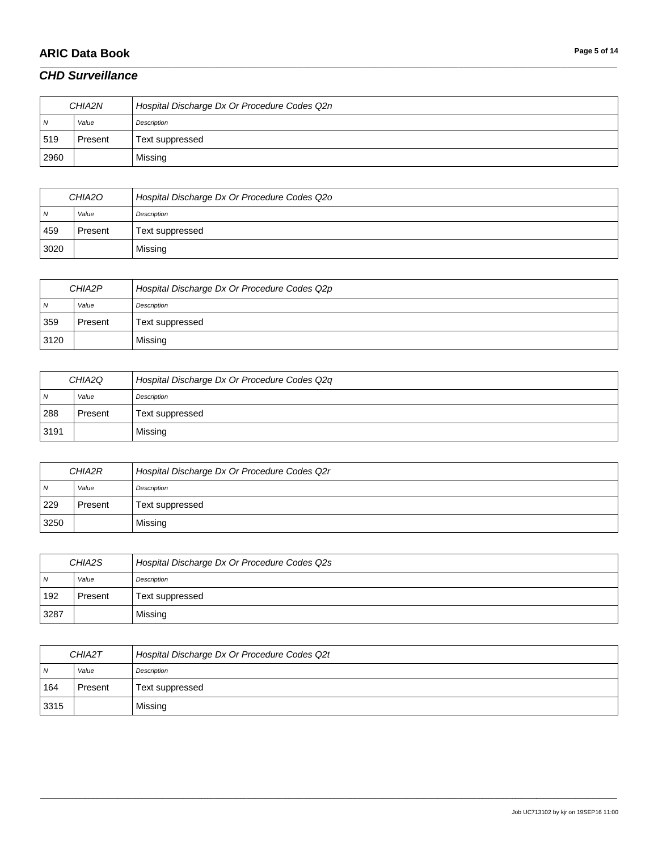# **ARIC Data Book Page 5 of 14**

#### *CHD Surveillance*

| CHIA2N         |         | Hospital Discharge Dx Or Procedure Codes Q2n |
|----------------|---------|----------------------------------------------|
| $\overline{N}$ | Value   | Description                                  |
| 519            | Present | Text suppressed                              |
| 2960           |         | Missing                                      |

\_\_\_\_\_\_\_\_\_\_\_\_\_\_\_\_\_\_\_\_\_\_\_\_\_\_\_\_\_\_\_\_\_\_\_\_\_\_\_\_\_\_\_\_\_\_\_\_\_\_\_\_\_\_\_\_\_\_\_\_\_\_\_\_\_\_\_\_\_\_\_\_\_\_\_\_\_\_\_\_\_\_\_\_\_\_\_\_\_\_\_\_\_\_\_\_\_\_\_\_\_\_\_\_\_\_\_\_\_\_\_\_\_\_\_\_\_\_\_\_\_\_\_\_\_\_\_\_\_\_\_\_\_\_\_\_\_\_\_\_\_\_\_\_\_\_\_\_\_\_\_\_\_\_\_\_\_\_\_\_\_\_\_\_\_\_\_\_\_\_\_\_\_\_\_\_\_\_\_\_\_\_\_\_\_\_\_\_\_\_\_\_\_

| CHIA <sub>20</sub> |         | Hospital Discharge Dx Or Procedure Codes Q20 |
|--------------------|---------|----------------------------------------------|
| - N                | Value   | Description                                  |
| 459                | Present | Text suppressed                              |
| 3020               |         | Missing                                      |

| CHIA2P         |         | Hospital Discharge Dx Or Procedure Codes Q2p |
|----------------|---------|----------------------------------------------|
| $\overline{N}$ | Value   | Description                                  |
| 359            | Present | Text suppressed                              |
| 3120           |         | Missing                                      |

| CHIA2Q         |         | Hospital Discharge Dx Or Procedure Codes Q2q |
|----------------|---------|----------------------------------------------|
| N <sub>N</sub> | Value   | Description                                  |
| 288            | Present | Text suppressed                              |
| 3191           |         | Missing                                      |

| CHIA2R         |         | Hospital Discharge Dx Or Procedure Codes Q2r |
|----------------|---------|----------------------------------------------|
| N <sub>N</sub> | Value   | Description                                  |
| 229            | Present | Text suppressed                              |
| 3250           |         | Missing                                      |

| CHIA <sub>2</sub> S |         | Hospital Discharge Dx Or Procedure Codes Q2s |
|---------------------|---------|----------------------------------------------|
| N                   | Value   | Description                                  |
| 192                 | Present | Text suppressed                              |
| 3287                |         | Missing                                      |

| CHIA2T         |         | Hospital Discharge Dx Or Procedure Codes Q2t |
|----------------|---------|----------------------------------------------|
| $\overline{N}$ | Value   | Description                                  |
| 164            | Present | Text suppressed                              |
| 3315           |         | Missing                                      |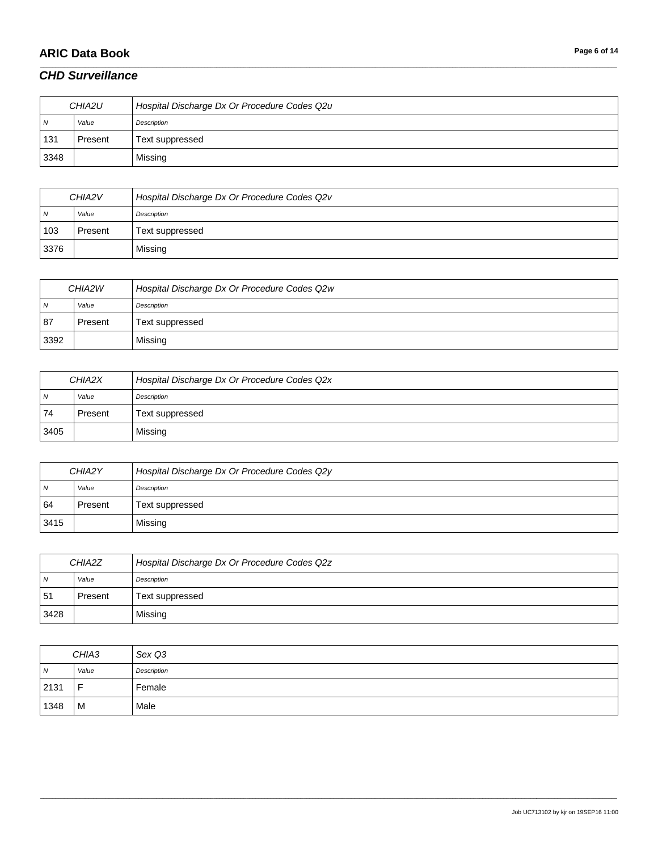# **ARIC Data Book Page 6 of 14**

#### *CHD Surveillance*

| CHIA2U |         | Hospital Discharge Dx Or Procedure Codes Q2u |
|--------|---------|----------------------------------------------|
| N      | Value   | Description                                  |
| 131    | Present | Text suppressed                              |
| 3348   |         | Missing                                      |

\_\_\_\_\_\_\_\_\_\_\_\_\_\_\_\_\_\_\_\_\_\_\_\_\_\_\_\_\_\_\_\_\_\_\_\_\_\_\_\_\_\_\_\_\_\_\_\_\_\_\_\_\_\_\_\_\_\_\_\_\_\_\_\_\_\_\_\_\_\_\_\_\_\_\_\_\_\_\_\_\_\_\_\_\_\_\_\_\_\_\_\_\_\_\_\_\_\_\_\_\_\_\_\_\_\_\_\_\_\_\_\_\_\_\_\_\_\_\_\_\_\_\_\_\_\_\_\_\_\_\_\_\_\_\_\_\_\_\_\_\_\_\_\_\_\_\_\_\_\_\_\_\_\_\_\_\_\_\_\_\_\_\_\_\_\_\_\_\_\_\_\_\_\_\_\_\_\_\_\_\_\_\_\_\_\_\_\_\_\_\_\_\_

| CHIA2V |         | Hospital Discharge Dx Or Procedure Codes Q2v |
|--------|---------|----------------------------------------------|
| - N    | Value   | Description                                  |
| 103    | Present | Text suppressed                              |
| 3376   |         | Missing                                      |

| CHIA2W         |         | Hospital Discharge Dx Or Procedure Codes Q2w |
|----------------|---------|----------------------------------------------|
| $\overline{N}$ | Value   | Description                                  |
| 87             | Present | Text suppressed                              |
| 3392           |         | Missing                                      |

| CHIA2X         |         | Hospital Discharge Dx Or Procedure Codes Q2x |
|----------------|---------|----------------------------------------------|
| N <sub>N</sub> | Value   | Description                                  |
| 74             | Present | Text suppressed                              |
| 3405           |         | Missing                                      |

| CHIA2Y         |         | Hospital Discharge Dx Or Procedure Codes Q2y |
|----------------|---------|----------------------------------------------|
| N <sub>N</sub> | Value   | Description                                  |
| 64             | Present | Text suppressed                              |
| 3415           |         | Missing                                      |

| CHIA2Z         |         | Hospital Discharge Dx Or Procedure Codes Q2z |
|----------------|---------|----------------------------------------------|
| $\overline{M}$ | Value   | Description                                  |
| 51             | Present | Text suppressed                              |
| 3428           |         | Missing                                      |

| CHIA3          |       | Sex Q3      |
|----------------|-------|-------------|
| $\overline{N}$ | Value | Description |
| 2131           | F     | Female      |
| 1348           | M     | Male        |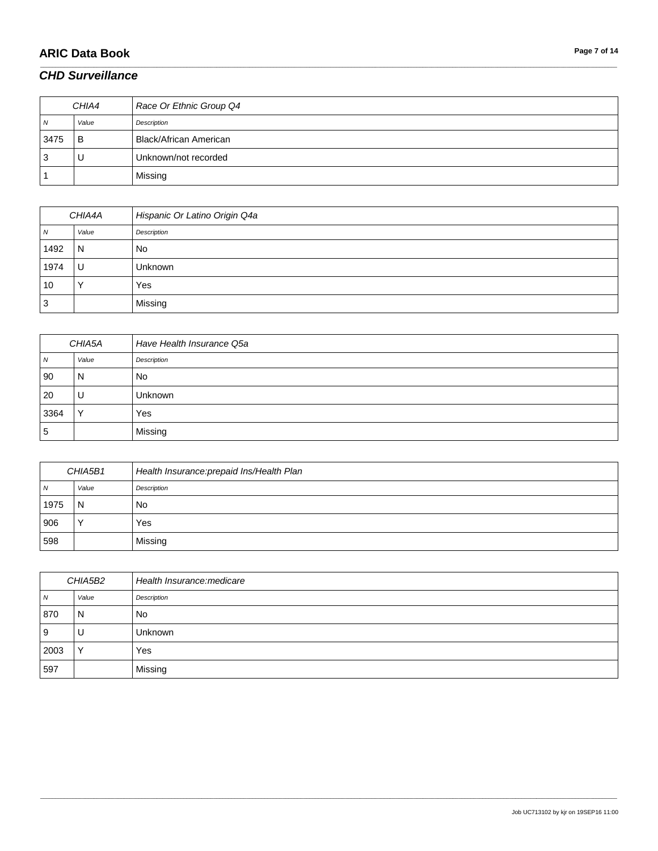# **ARIC Data Book Page 7 of 14**

### *CHD Surveillance*

|      | CHIA4 | Race Or Ethnic Group Q4 |
|------|-------|-------------------------|
| N    | Value | Description             |
| 3475 | B     | Black/African American  |
| 3    | U     | Unknown/not recorded    |
|      |       | Missing                 |

\_\_\_\_\_\_\_\_\_\_\_\_\_\_\_\_\_\_\_\_\_\_\_\_\_\_\_\_\_\_\_\_\_\_\_\_\_\_\_\_\_\_\_\_\_\_\_\_\_\_\_\_\_\_\_\_\_\_\_\_\_\_\_\_\_\_\_\_\_\_\_\_\_\_\_\_\_\_\_\_\_\_\_\_\_\_\_\_\_\_\_\_\_\_\_\_\_\_\_\_\_\_\_\_\_\_\_\_\_\_\_\_\_\_\_\_\_\_\_\_\_\_\_\_\_\_\_\_\_\_\_\_\_\_\_\_\_\_\_\_\_\_\_\_\_\_\_\_\_\_\_\_\_\_\_\_\_\_\_\_\_\_\_\_\_\_\_\_\_\_\_\_\_\_\_\_\_\_\_\_\_\_\_\_\_\_\_\_\_\_\_\_\_

| CHIA4A |       | Hispanic Or Latino Origin Q4a |
|--------|-------|-------------------------------|
| N      | Value | Description                   |
| 1492   | N     | No                            |
| 1974   | U     | Unknown                       |
| 10     |       | Yes                           |
| ົ<br>ບ |       | Missing                       |

| CHIA5A |              | Have Health Insurance Q5a |
|--------|--------------|---------------------------|
| N      | Value        | Description               |
| 90     | N            | No                        |
| 20     | U            | Unknown                   |
| 3364   | $\checkmark$ | Yes                       |
| 5      |              | Missing                   |

| CHIA5B1 |       | Health Insurance: prepaid Ins/Health Plan |
|---------|-------|-------------------------------------------|
| N       | Value | Description                               |
| 1975    | N     | No                                        |
| 906     |       | Yes                                       |
| 598     |       | Missing                                   |

| CHIA5B2        |              | Health Insurance: medicare |
|----------------|--------------|----------------------------|
| $\overline{N}$ | Value        | Description                |
| 870            | N            | <b>No</b>                  |
| 9              | U            | <b>Unknown</b>             |
| 2003           | $\checkmark$ | Yes                        |
| 597            |              | Missing                    |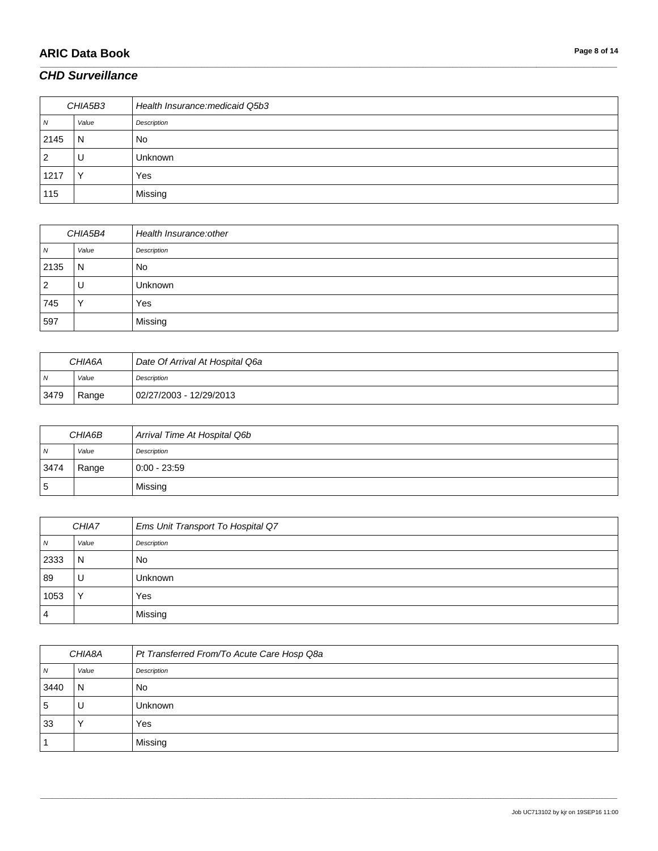# **ARIC Data Book Page 8 of 14**

### *CHD Surveillance*

| CHIA5B3        |              | Health Insurance: medicaid Q5b3 |
|----------------|--------------|---------------------------------|
| $\overline{N}$ | Value        | Description                     |
| 2145           | N            | <b>No</b>                       |
| 2              | U            | <b>Unknown</b>                  |
| 1217           | $\checkmark$ | Yes                             |
| 115            |              | Missing                         |

\_\_\_\_\_\_\_\_\_\_\_\_\_\_\_\_\_\_\_\_\_\_\_\_\_\_\_\_\_\_\_\_\_\_\_\_\_\_\_\_\_\_\_\_\_\_\_\_\_\_\_\_\_\_\_\_\_\_\_\_\_\_\_\_\_\_\_\_\_\_\_\_\_\_\_\_\_\_\_\_\_\_\_\_\_\_\_\_\_\_\_\_\_\_\_\_\_\_\_\_\_\_\_\_\_\_\_\_\_\_\_\_\_\_\_\_\_\_\_\_\_\_\_\_\_\_\_\_\_\_\_\_\_\_\_\_\_\_\_\_\_\_\_\_\_\_\_\_\_\_\_\_\_\_\_\_\_\_\_\_\_\_\_\_\_\_\_\_\_\_\_\_\_\_\_\_\_\_\_\_\_\_\_\_\_\_\_\_\_\_\_\_\_

| CHIA5B4        |              | Health Insurance: other |
|----------------|--------------|-------------------------|
| $\overline{N}$ | Value        | Description             |
| 2135           | N            | <b>No</b>               |
| $\overline{2}$ | U            | <b>Unknown</b>          |
| 745            | $\checkmark$ | Yes                     |
| 597            |              | Missing                 |

| <i>CHIA6A</i>  |       | Date Of Arrival At Hospital Q6a |
|----------------|-------|---------------------------------|
| $\overline{N}$ | Value | Description                     |
| 3479           | Range | 02/27/2003 - 12/29/2013         |

| CHIA6B |       | Arrival Time At Hospital Q6b |
|--------|-------|------------------------------|
| N      | Value | Description                  |
| 3474   | Range | $0:00 - 23:59$               |
| 5      |       | Missing                      |

| CHIA7            |                | Ems Unit Transport To Hospital Q7 |
|------------------|----------------|-----------------------------------|
| $\boldsymbol{N}$ | Value          | Description                       |
| 2333             | $\overline{N}$ | <b>No</b>                         |
| 89               | U              | <b>Unknown</b>                    |
| 1053             | $\checkmark$   | Yes                               |
| 4                |                | Missing                           |

| CHIA8A         |       | Pt Transferred From/To Acute Care Hosp Q8a |
|----------------|-------|--------------------------------------------|
| $\overline{N}$ | Value | Description                                |
| 3440           | N     | <b>No</b>                                  |
| 5              | U     | Unknown                                    |
| 33             |       | Yes                                        |
|                |       | Missing                                    |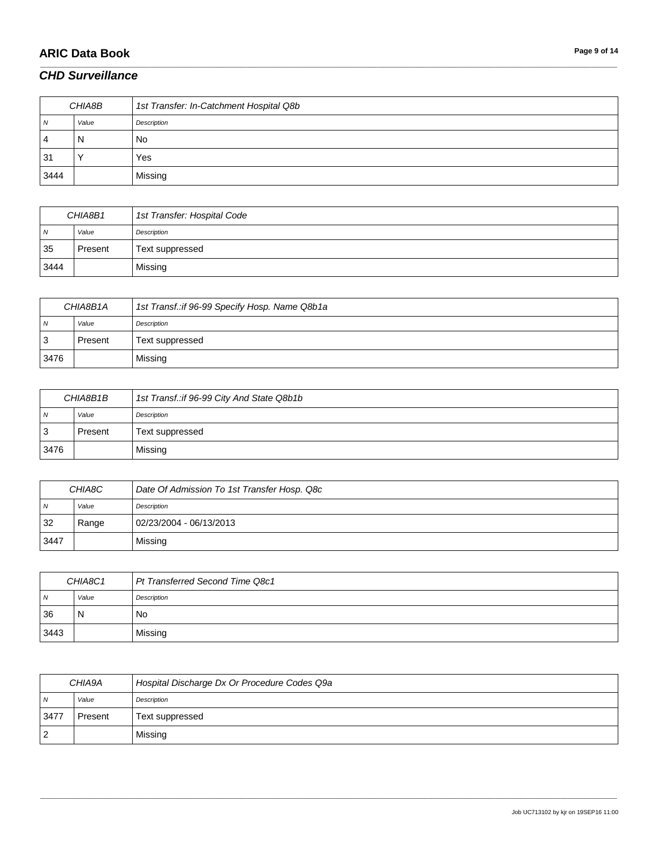### **ARIC Data Book Page 9 of 14**

#### *CHD Surveillance*

| CHIA8B |       | 1st Transfer: In-Catchment Hospital Q8b |
|--------|-------|-----------------------------------------|
| 7V     | Value | Description                             |
| 4      | N     | No                                      |
| 31     |       | Yes                                     |
| 3444   |       | Missing                                 |

\_\_\_\_\_\_\_\_\_\_\_\_\_\_\_\_\_\_\_\_\_\_\_\_\_\_\_\_\_\_\_\_\_\_\_\_\_\_\_\_\_\_\_\_\_\_\_\_\_\_\_\_\_\_\_\_\_\_\_\_\_\_\_\_\_\_\_\_\_\_\_\_\_\_\_\_\_\_\_\_\_\_\_\_\_\_\_\_\_\_\_\_\_\_\_\_\_\_\_\_\_\_\_\_\_\_\_\_\_\_\_\_\_\_\_\_\_\_\_\_\_\_\_\_\_\_\_\_\_\_\_\_\_\_\_\_\_\_\_\_\_\_\_\_\_\_\_\_\_\_\_\_\_\_\_\_\_\_\_\_\_\_\_\_\_\_\_\_\_\_\_\_\_\_\_\_\_\_\_\_\_\_\_\_\_\_\_\_\_\_\_\_\_

| CHIA8B1        |         | 1st Transfer: Hospital Code |
|----------------|---------|-----------------------------|
| $\overline{N}$ | Value   | Description                 |
| 35             | Present | Text suppressed             |
| 3444           |         | Missing                     |

| CHIA8B1A       |         | 1st Transf.:if 96-99 Specify Hosp. Name Q8b1a |
|----------------|---------|-----------------------------------------------|
| $\overline{N}$ | Value   | Description                                   |
| -3             | Present | Text suppressed                               |
| 3476           |         | Missing                                       |

| CHIA8B1B       |         | 1st Transf.:if 96-99 City And State Q8b1b |
|----------------|---------|-------------------------------------------|
| $\overline{N}$ | Value   | Description                               |
| 3              | Present | Text suppressed                           |
| 3476           |         | Missing                                   |

| CHIA8C         |       | Date Of Admission To 1st Transfer Hosp. Q8c |
|----------------|-------|---------------------------------------------|
| $\overline{N}$ | Value | Description                                 |
| 32             | Range | 02/23/2004 - 06/13/2013                     |
| 3447           |       | Missing                                     |

| CHIA8C1        |       | Pt Transferred Second Time Q8c1 |
|----------------|-------|---------------------------------|
| $\overline{N}$ | Value | Description                     |
| 136            | -N    | No                              |
| 3443           |       | Missing                         |

| CHIA9A         |         | Hospital Discharge Dx Or Procedure Codes Q9a |
|----------------|---------|----------------------------------------------|
| $\overline{N}$ | Value   | Description                                  |
| $347^{\circ}$  | Present | Text suppressed                              |
| $^{\circ}2$    |         | Missing                                      |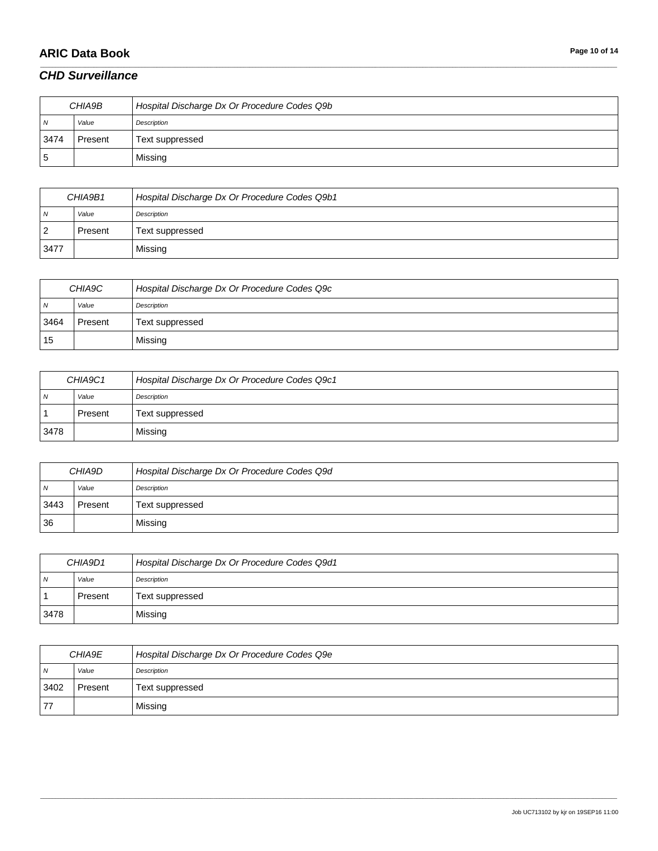# **ARIC Data Book Page 10 of 14**

#### *CHD Surveillance*

| CHIA9B         |         | Hospital Discharge Dx Or Procedure Codes Q9b |
|----------------|---------|----------------------------------------------|
| $\overline{N}$ | Value   | Description                                  |
| 3474           | Present | Text suppressed                              |
| 5              |         | Missing                                      |

\_\_\_\_\_\_\_\_\_\_\_\_\_\_\_\_\_\_\_\_\_\_\_\_\_\_\_\_\_\_\_\_\_\_\_\_\_\_\_\_\_\_\_\_\_\_\_\_\_\_\_\_\_\_\_\_\_\_\_\_\_\_\_\_\_\_\_\_\_\_\_\_\_\_\_\_\_\_\_\_\_\_\_\_\_\_\_\_\_\_\_\_\_\_\_\_\_\_\_\_\_\_\_\_\_\_\_\_\_\_\_\_\_\_\_\_\_\_\_\_\_\_\_\_\_\_\_\_\_\_\_\_\_\_\_\_\_\_\_\_\_\_\_\_\_\_\_\_\_\_\_\_\_\_\_\_\_\_\_\_\_\_\_\_\_\_\_\_\_\_\_\_\_\_\_\_\_\_\_\_\_\_\_\_\_\_\_\_\_\_\_\_\_

| CHIA9B1 |         | Hospital Discharge Dx Or Procedure Codes Q9b1 |
|---------|---------|-----------------------------------------------|
| N       | Value   | Description                                   |
| ∠       | Present | Text suppressed                               |
| 3477    |         | Missing                                       |

| CHIA9C         |         | Hospital Discharge Dx Or Procedure Codes Q9c |
|----------------|---------|----------------------------------------------|
| N <sub>N</sub> | Value   | Description                                  |
| 3464           | Present | Text suppressed                              |
| 15             |         | Missing                                      |

| CHIA9C1        |         | Hospital Discharge Dx Or Procedure Codes Q9c1 |
|----------------|---------|-----------------------------------------------|
| N <sub>N</sub> | Value   | Description                                   |
|                | Present | Text suppressed                               |
| 3478           |         | Missing                                       |

| CHIA9D         |         | Hospital Discharge Dx Or Procedure Codes Q9d |
|----------------|---------|----------------------------------------------|
| N <sub>N</sub> | Value   | Description                                  |
| 3443           | Present | Text suppressed                              |
| 36             |         | Missing                                      |

| CHIA9D1 |         | Hospital Discharge Dx Or Procedure Codes Q9d1 |
|---------|---------|-----------------------------------------------|
| I N     | Value   | Description                                   |
|         | Present | Text suppressed                               |
| 3478    |         | Missing                                       |

| CHIA9E         |         | Hospital Discharge Dx Or Procedure Codes Q9e |
|----------------|---------|----------------------------------------------|
| $\overline{N}$ | Value   | Description                                  |
| 3402           | Present | Text suppressed                              |
| 77             |         | Missing                                      |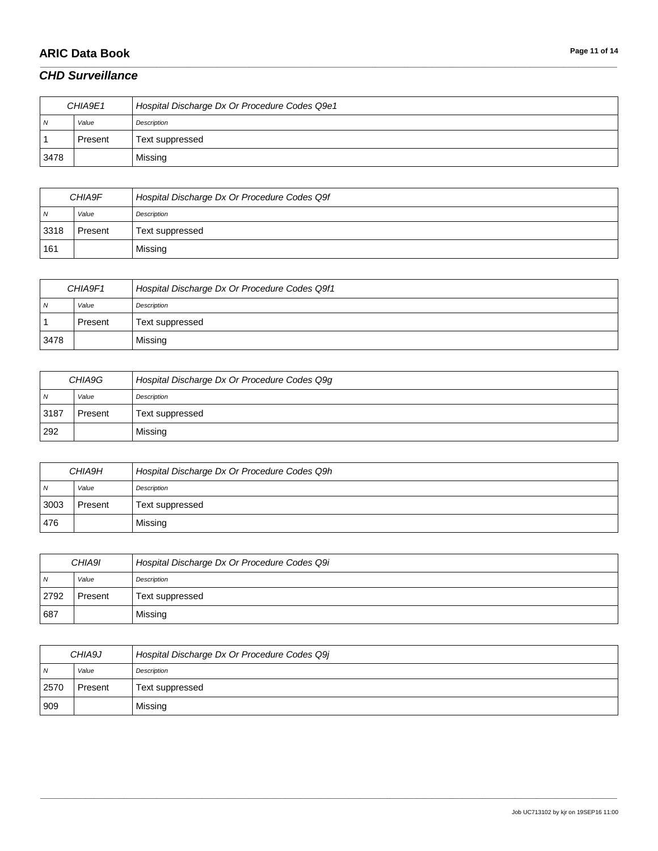# **ARIC Data Book Page 11 of 14**

#### *CHD Surveillance*

| CHIA9E1        |         | Hospital Discharge Dx Or Procedure Codes Q9e1 |
|----------------|---------|-----------------------------------------------|
| N <sub>N</sub> | Value   | Description                                   |
|                | Present | Text suppressed                               |
| 3478           |         | Missing                                       |

\_\_\_\_\_\_\_\_\_\_\_\_\_\_\_\_\_\_\_\_\_\_\_\_\_\_\_\_\_\_\_\_\_\_\_\_\_\_\_\_\_\_\_\_\_\_\_\_\_\_\_\_\_\_\_\_\_\_\_\_\_\_\_\_\_\_\_\_\_\_\_\_\_\_\_\_\_\_\_\_\_\_\_\_\_\_\_\_\_\_\_\_\_\_\_\_\_\_\_\_\_\_\_\_\_\_\_\_\_\_\_\_\_\_\_\_\_\_\_\_\_\_\_\_\_\_\_\_\_\_\_\_\_\_\_\_\_\_\_\_\_\_\_\_\_\_\_\_\_\_\_\_\_\_\_\_\_\_\_\_\_\_\_\_\_\_\_\_\_\_\_\_\_\_\_\_\_\_\_\_\_\_\_\_\_\_\_\_\_\_\_\_\_

| CHIA9F         |         | Hospital Discharge Dx Or Procedure Codes Q9f |
|----------------|---------|----------------------------------------------|
| $\overline{N}$ | Value   | Description                                  |
| 3318           | Present | Text suppressed                              |
| 161            |         | Missing                                      |

| CHIA9F1        |         | Hospital Discharge Dx Or Procedure Codes Q9f1 |
|----------------|---------|-----------------------------------------------|
| N <sub>N</sub> | Value   | Description                                   |
|                | Present | Text suppressed                               |
| 3478           |         | Missing                                       |

| CHIA9G         |         | Hospital Discharge Dx Or Procedure Codes Q9g |
|----------------|---------|----------------------------------------------|
| $\overline{N}$ | Value   | Description                                  |
| 3187           | Present | Text suppressed                              |
| 292            |         | Missing                                      |

| CHIA9H         |         | Hospital Discharge Dx Or Procedure Codes Q9h |
|----------------|---------|----------------------------------------------|
| N <sub>N</sub> | Value   | Description                                  |
| 3003           | Present | Text suppressed                              |
| 476            |         | Missing                                      |

| CHIA9I         |         | Hospital Discharge Dx Or Procedure Codes Q9i |
|----------------|---------|----------------------------------------------|
| $\overline{M}$ | Value   | Description                                  |
| 2792           | Present | Text suppressed                              |
| 687            |         | Missing                                      |

| CHIA9J         |         | Hospital Discharge Dx Or Procedure Codes Q9j |
|----------------|---------|----------------------------------------------|
| $\overline{N}$ | Value   | Description                                  |
| 2570           | Present | Text suppressed                              |
| 909            |         | Missing                                      |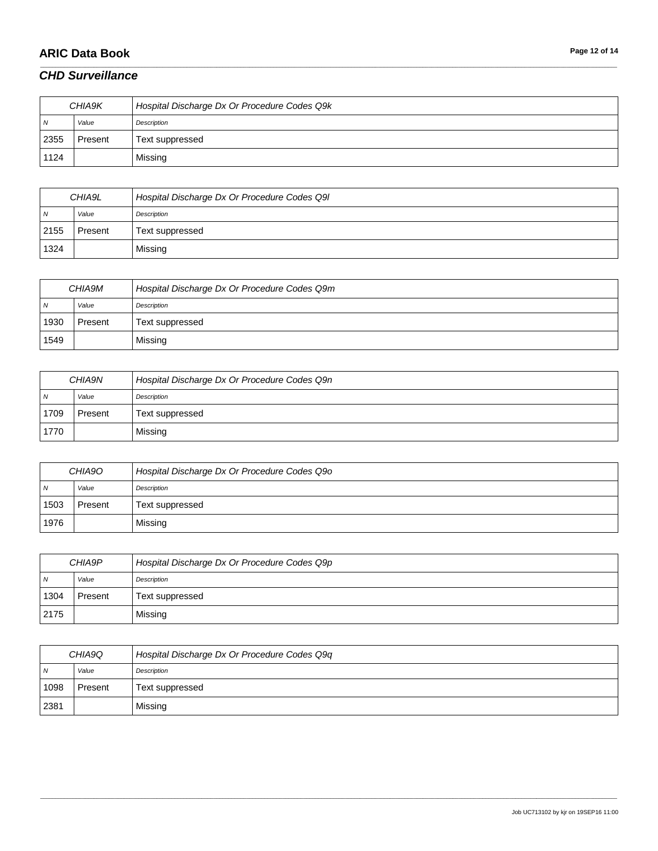# **ARIC Data Book Page 12 of 14**

### *CHD Surveillance*

| CHIA9K         |         | Hospital Discharge Dx Or Procedure Codes Q9k |
|----------------|---------|----------------------------------------------|
| N <sub>N</sub> | Value   | Description                                  |
| 2355           | Present | Text suppressed                              |
| 1124           |         | Missing                                      |

\_\_\_\_\_\_\_\_\_\_\_\_\_\_\_\_\_\_\_\_\_\_\_\_\_\_\_\_\_\_\_\_\_\_\_\_\_\_\_\_\_\_\_\_\_\_\_\_\_\_\_\_\_\_\_\_\_\_\_\_\_\_\_\_\_\_\_\_\_\_\_\_\_\_\_\_\_\_\_\_\_\_\_\_\_\_\_\_\_\_\_\_\_\_\_\_\_\_\_\_\_\_\_\_\_\_\_\_\_\_\_\_\_\_\_\_\_\_\_\_\_\_\_\_\_\_\_\_\_\_\_\_\_\_\_\_\_\_\_\_\_\_\_\_\_\_\_\_\_\_\_\_\_\_\_\_\_\_\_\_\_\_\_\_\_\_\_\_\_\_\_\_\_\_\_\_\_\_\_\_\_\_\_\_\_\_\_\_\_\_\_\_\_

| CHIA9L |         | Hospital Discharge Dx Or Procedure Codes Q9I |
|--------|---------|----------------------------------------------|
| N      | Value   | Description                                  |
| 2155   | Present | Text suppressed                              |
| 1324   |         | Missing                                      |

| CHIA9M         |         | Hospital Discharge Dx Or Procedure Codes Q9m |
|----------------|---------|----------------------------------------------|
| N <sub>N</sub> | Value   | Description                                  |
| 1930           | Present | Text suppressed                              |
| 1549           |         | Missing                                      |

| CHIA9N         |         | Hospital Discharge Dx Or Procedure Codes Q9n |
|----------------|---------|----------------------------------------------|
| N <sub>N</sub> | Value   | Description                                  |
| 1709           | Present | Text suppressed                              |
| 1770           |         | Missing                                      |

| CHIA9O         |         | Hospital Discharge Dx Or Procedure Codes Q90 |
|----------------|---------|----------------------------------------------|
| N <sub>N</sub> | Value   | Description                                  |
| 1503           | Present | Text suppressed                              |
| 1976           |         | Missing                                      |

| CHIA9P         |         | Hospital Discharge Dx Or Procedure Codes Q9p |
|----------------|---------|----------------------------------------------|
| $\overline{N}$ | Value   | Description                                  |
| 1304           | Present | Text suppressed                              |
| 2175           |         | Missing                                      |

| CHIA9Q         |         | Hospital Discharge Dx Or Procedure Codes Q9q |
|----------------|---------|----------------------------------------------|
| $\overline{N}$ | Value   | Description                                  |
| 1098           | Present | Text suppressed                              |
| 2381           |         | Missing                                      |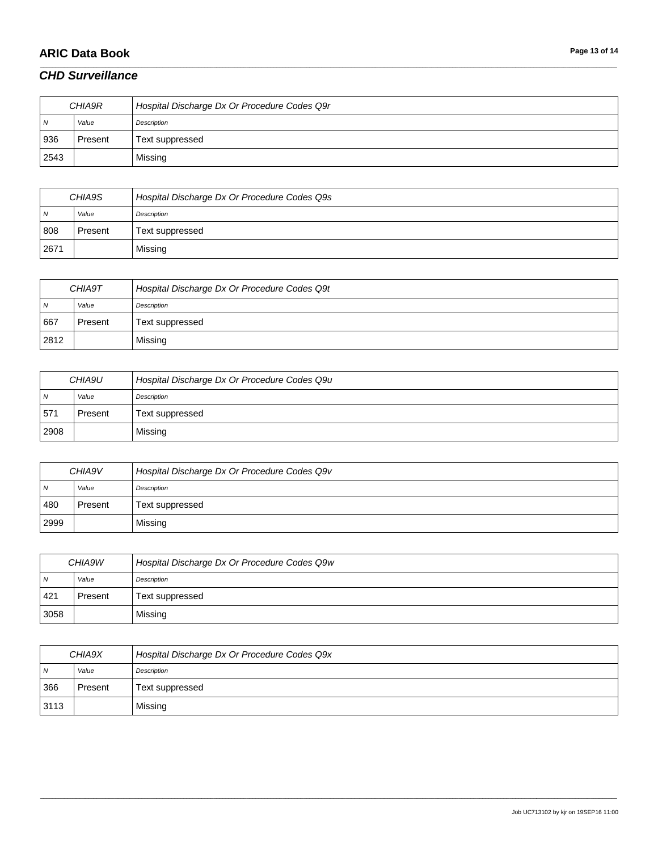# **ARIC Data Book Page 13 of 14**

### *CHD Surveillance*

| CHIA9R         |         | Hospital Discharge Dx Or Procedure Codes Q9r |
|----------------|---------|----------------------------------------------|
| $\overline{N}$ | Value   | Description                                  |
| 936            | Present | Text suppressed                              |
| 2543           |         | Missing                                      |

\_\_\_\_\_\_\_\_\_\_\_\_\_\_\_\_\_\_\_\_\_\_\_\_\_\_\_\_\_\_\_\_\_\_\_\_\_\_\_\_\_\_\_\_\_\_\_\_\_\_\_\_\_\_\_\_\_\_\_\_\_\_\_\_\_\_\_\_\_\_\_\_\_\_\_\_\_\_\_\_\_\_\_\_\_\_\_\_\_\_\_\_\_\_\_\_\_\_\_\_\_\_\_\_\_\_\_\_\_\_\_\_\_\_\_\_\_\_\_\_\_\_\_\_\_\_\_\_\_\_\_\_\_\_\_\_\_\_\_\_\_\_\_\_\_\_\_\_\_\_\_\_\_\_\_\_\_\_\_\_\_\_\_\_\_\_\_\_\_\_\_\_\_\_\_\_\_\_\_\_\_\_\_\_\_\_\_\_\_\_\_\_\_

| CHIA9S         |         | Hospital Discharge Dx Or Procedure Codes Q9s |
|----------------|---------|----------------------------------------------|
| $\overline{N}$ | Value   | Description                                  |
| 808            | Present | Text suppressed                              |
| 2671           |         | Missing                                      |

| CHIA9T |         | Hospital Discharge Dx Or Procedure Codes Q9t |
|--------|---------|----------------------------------------------|
| N      | Value   | Description                                  |
| 667    | Present | Text suppressed                              |
| 2812   |         | Missing                                      |

| CHIA9U         |         | Hospital Discharge Dx Or Procedure Codes Q9u |
|----------------|---------|----------------------------------------------|
| $\overline{N}$ | Value   | Description                                  |
| 57'            | Present | Text suppressed                              |
| 2908           |         | Missing                                      |

| CHIA9V         |         | Hospital Discharge Dx Or Procedure Codes Q9v |
|----------------|---------|----------------------------------------------|
| N <sub>N</sub> | Value   | Description                                  |
| 480            | Present | Text suppressed                              |
| 2999           |         | Missing                                      |

| CHIA9W |         | Hospital Discharge Dx Or Procedure Codes Q9w |
|--------|---------|----------------------------------------------|
| N      | Value   | Description                                  |
| 421    | Present | Text suppressed                              |
| 3058   |         | Missing                                      |

| CHIA9X         |         | Hospital Discharge Dx Or Procedure Codes Q9x |
|----------------|---------|----------------------------------------------|
| $\overline{N}$ | Value   | Description                                  |
| 366            | Present | Text suppressed                              |
| 3113           |         | Missing                                      |